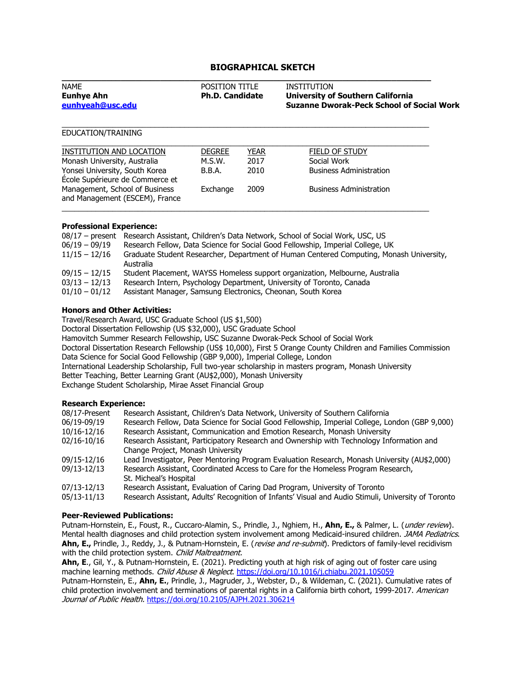# **BIOGRAPHICAL SKETCH**

| <b>NAME</b><br><b>Eunhye Ahn</b><br>eunhyeah@usc.edu                                                                                  | <b>POSITION TITLE</b><br><b>Ph.D. Candidate</b> |                     | <b>INSTITUTION</b><br><b>University of Southern California</b><br><b>Suzanne Dworak-Peck School of Social Work</b> |
|---------------------------------------------------------------------------------------------------------------------------------------|-------------------------------------------------|---------------------|--------------------------------------------------------------------------------------------------------------------|
| EDUCATION/TRAINING                                                                                                                    |                                                 |                     |                                                                                                                    |
| INSTITUTION AND LOCATION<br>Monash University, Australia                                                                              | <b>DEGREE</b><br>M.S.W.                         | <b>YEAR</b><br>2017 | FIELD OF STUDY<br>Social Work                                                                                      |
| Yonsei University, South Korea<br>École Supérieure de Commerce et<br>Management, School of Business<br>and Management (ESCEM), France | B.B.A.<br>Exchange                              | 2010<br>2009        | <b>Business Administration</b><br><b>Business Administration</b>                                                   |

### **Professional Experience:**

| $06/19 - 09/19$<br>$11/15 - 12/16$ | 08/17 - present Research Assistant, Children's Data Network, School of Social Work, USC, US<br>Research Fellow, Data Science for Social Good Fellowship, Imperial College, UK<br>Graduate Student Researcher, Department of Human Centered Computing, Monash University,<br>Australia |
|------------------------------------|---------------------------------------------------------------------------------------------------------------------------------------------------------------------------------------------------------------------------------------------------------------------------------------|
| $09/15 - 12/15$                    | Student Placement, WAYSS Homeless support organization, Melbourne, Australia                                                                                                                                                                                                          |
| $03/13 - 12/13$                    | Research Intern, Psychology Department, University of Toronto, Canada                                                                                                                                                                                                                 |
| $01/10 - 01/12$                    | Assistant Manager, Samsung Electronics, Cheonan, South Korea                                                                                                                                                                                                                          |

### **Honors and Other Activities:**

Travel/Research Award, USC Graduate School (US \$1,500)

Doctoral Dissertation Fellowship (US \$32,000), USC Graduate School

Hamovitch Summer Research Fellowship, USC Suzanne Dworak-Peck School of Social Work

Doctoral Dissertation Research Fellowship (US\$ 10,000), First 5 Orange County Children and Families Commission Data Science for Social Good Fellowship (GBP 9,000), Imperial College, London

International Leadership Scholarship, Full two-year scholarship in masters program, Monash University

Better Teaching, Better Learning Grant (AU\$2,000), Monash University

Exchange Student Scholarship, Mirae Asset Financial Group

### **Research Experience:**

| 08/17-Present | Research Assistant, Children's Data Network, University of Southern California                      |
|---------------|-----------------------------------------------------------------------------------------------------|
|               |                                                                                                     |
| 06/19-09/19   | Research Fellow, Data Science for Social Good Fellowship, Imperial College, London (GBP 9,000)      |
| 10/16-12/16   | Research Assistant, Communication and Emotion Research, Monash University                           |
| 02/16-10/16   | Research Assistant, Participatory Research and Ownership with Technology Information and            |
|               | Change Project, Monash University                                                                   |
| 09/15-12/16   | Lead Investigator, Peer Mentoring Program Evaluation Research, Monash University (AU\$2,000)        |
| 09/13-12/13   | Research Assistant, Coordinated Access to Care for the Homeless Program Research,                   |
|               | St. Micheal's Hospital                                                                              |
| 07/13-12/13   | Research Assistant, Evaluation of Caring Dad Program, University of Toronto                         |
| 05/13-11/13   | Research Assistant, Adults' Recognition of Infants' Visual and Audio Stimuli, University of Toronto |

### **Peer-Reviewed Publications:**

Putnam-Hornstein, E., Foust, R., Cuccaro-Alamin, S., Prindle, J., Nghiem, H., **Ahn, E.,** & Palmer, L. (under review). Mental health diagnoses and child protection system involvement among Medicaid-insured children. JAMA Pediatrics. **Ahn, E.,** Prindle, J., Reddy, J., & Putnam-Hornstein, E. (revise and re-submit). Predictors of family-level recidivism with the child protection system. Child Maltreatment.

**Ahn, E**., Gil, Y., & Putnam-Hornstein, E. (2021). Predicting youth at high risk of aging out of foster care using machine learning methods. Child Abuse & Neglect.<https://doi.org/10.1016/j.chiabu.2021.105059>

Putnam-Hornstein, E., **Ahn, E.**, Prindle, J., Magruder, J., Webster, D., & Wildeman, C. (2021). Cumulative rates of child protection involvement and terminations of parental rights in a California birth cohort, 1999-2017. American Journal of Public Health. <https://doi.org/10.2105/AJPH.2021.306214>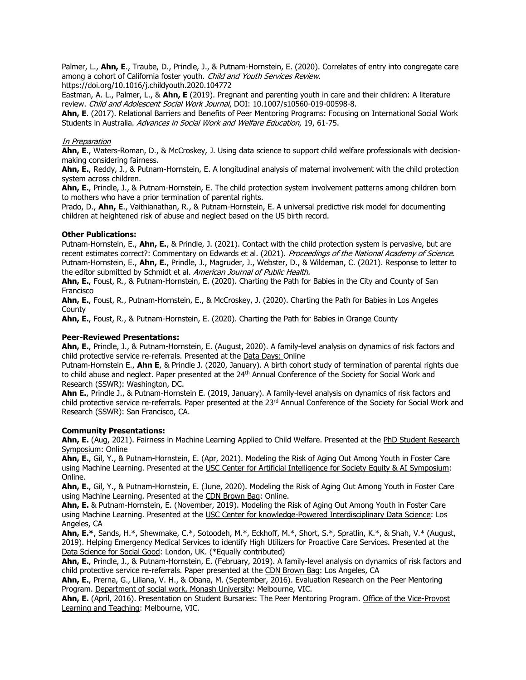Palmer, L., **Ahn, E**., Traube, D., Prindle, J., & Putnam-Hornstein, E. (2020). Correlates of entry into congregate care among a cohort of California foster youth. Child and Youth Services Review.

https://doi.org/10.1016/j.childyouth.2020.104772

Eastman, A. L., Palmer, L., & **Ahn, E** (2019). Pregnant and parenting youth in care and their children: A literature review. Child and Adolescent Social Work Journal, DOI: 10.1007/s10560-019-00598-8.

**Ahn, E**. (2017). Relational Barriers and Benefits of Peer Mentoring Programs: Focusing on International Social Work Students in Australia. Advances in Social Work and Welfare Education, 19, 61-75.

### **In Preparation**

**Ahn, E**., Waters-Roman, D., & McCroskey, J. Using data science to support child welfare professionals with decisionmaking considering fairness.

**Ahn, E.**, Reddy, J., & Putnam-Hornstein, E. A longitudinal analysis of maternal involvement with the child protection system across children.

**Ahn, E.**, Prindle, J., & Putnam-Hornstein, E. The child protection system involvement patterns among children born to mothers who have a prior termination of parental rights.

Prado, D., **Ahn, E**., Vaithianathan, R., & Putnam-Hornstein, E. A universal predictive risk model for documenting children at heightened risk of abuse and neglect based on the US birth record.

### **Other Publications:**

Putnam-Hornstein, E., **Ahn, E.**, & Prindle, J. (2021). Contact with the child protection system is pervasive, but are recent estimates correct?: Commentary on Edwards et al. (2021). Proceedings of the National Academy of Science. Putnam-Hornstein, E., **Ahn, E.**, Prindle, J., Magruder, J., Webster, D., & Wildeman, C. (2021). Response to letter to the editor submitted by Schmidt et al. American Journal of Public Health.

**Ahn, E.**, Foust, R., & Putnam-Hornstein, E. (2020). Charting the Path for Babies in the City and County of San Francisco

**Ahn, E.**, Foust, R., Putnam-Hornstein, E., & McCroskey, J. (2020). Charting the Path for Babies in Los Angeles County

**Ahn, E.**, Foust, R., & Putnam-Hornstein, E. (2020). Charting the Path for Babies in Orange County

## **Peer-Reviewed Presentations:**

**Ahn, E.**, Prindle, J., & Putnam-Hornstein, E. (August, 2020). A family-level analysis on dynamics of risk factors and child protective service re-referrals. Presented at the Data Days: Online

Putnam-Hornstein E., **Ahn E**, & Prindle J. (2020, January). A birth cohort study of termination of parental rights due to child abuse and neglect. Paper presented at the 24<sup>th</sup> Annual Conference of the Society for Social Work and Research (SSWR): Washington, DC.

**Ahn E.**, Prindle J., & Putnam-Hornstein E. (2019, January). A family-level analysis on dynamics of risk factors and child protective service re-referrals. Paper presented at the 23<sup>rd</sup> Annual Conference of the Society for Social Work and Research (SSWR): San Francisco, CA.

### **Community Presentations:**

Ahn, E. (Aug, 2021). Fairness in Machine Learning Applied to Child Welfare. Presented at the PhD Student Research Symposium: Online

**Ahn, E.**, Gil, Y., & Putnam-Hornstein, E. (Apr, 2021). Modeling the Risk of Aging Out Among Youth in Foster Care using Machine Learning. Presented at the USC Center for Artificial Intelligence for Society Equity & AI Symposium: Online.

**Ahn, E.**, Gil, Y., & Putnam-Hornstein, E. (June, 2020). Modeling the Risk of Aging Out Among Youth in Foster Care using Machine Learning. Presented at the CDN Brown Bag: Online.

**Ahn, E.** & Putnam-Hornstein, E. (November, 2019). Modeling the Risk of Aging Out Among Youth in Foster Care using Machine Learning. Presented at the USC Center for knowledge-Powered Interdisciplinary Data Science: Los Angeles, CA

**Ahn, E.\***, Sands, H.\*, Shewmake, C.\*, Sotoodeh, M.\*, Eckhoff, M.\*, Short, S.\*, Spratlin, K.\*, & Shah, V.\* (August, 2019). Helping Emergency Medical Services to identify High Utilizers for Proactive Care Services. Presented at the Data Science for Social Good: London, UK. (\*Equally contributed)

**Ahn, E.**, Prindle, J., & Putnam-Hornstein, E. (February, 2019). A family-level analysis on dynamics of risk factors and child protective service re-referrals. Paper presented at the CDN Brown Bag: Los Angeles, CA

**Ahn, E.**, Prerna, G., Liliana, V. H., & Obana, M. (September, 2016). Evaluation Research on the Peer Mentoring Program. Department of social work, Monash University: Melbourne, VIC.

**Ahn, E.** (April, 2016). Presentation on Student Bursaries: The Peer Mentoring Program. Office of the Vice-Provost Learning and Teaching: Melbourne, VIC.